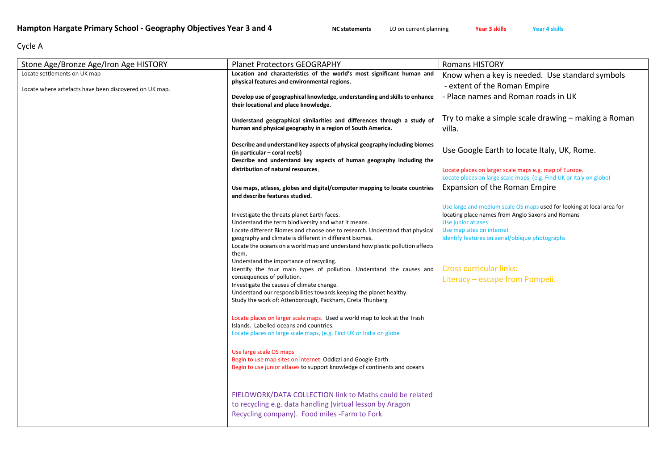## Cycle A

| Stone Age/Bronze Age/Iron Age HISTORY                  | <b>Planet Protectors GEOGRAPHY</b>                                                                                                                                                                                                                                                                                                                                                                                                                                                                                                                                                                                                                                                                                                                                                                                                                                                                                                                                                                                                                                                                                                                                     | <b>Romans HISTORY</b>                                                                                                                                                                                                                                                                                 |
|--------------------------------------------------------|------------------------------------------------------------------------------------------------------------------------------------------------------------------------------------------------------------------------------------------------------------------------------------------------------------------------------------------------------------------------------------------------------------------------------------------------------------------------------------------------------------------------------------------------------------------------------------------------------------------------------------------------------------------------------------------------------------------------------------------------------------------------------------------------------------------------------------------------------------------------------------------------------------------------------------------------------------------------------------------------------------------------------------------------------------------------------------------------------------------------------------------------------------------------|-------------------------------------------------------------------------------------------------------------------------------------------------------------------------------------------------------------------------------------------------------------------------------------------------------|
| Locate settlements on UK map                           | Location and characteristics of the world's most significant human and                                                                                                                                                                                                                                                                                                                                                                                                                                                                                                                                                                                                                                                                                                                                                                                                                                                                                                                                                                                                                                                                                                 | Know when a key is needed. Use standard symbols                                                                                                                                                                                                                                                       |
| Locate where artefacts have been discovered on UK map. | physical features and environmental regions.                                                                                                                                                                                                                                                                                                                                                                                                                                                                                                                                                                                                                                                                                                                                                                                                                                                                                                                                                                                                                                                                                                                           | - extent of the Roman Empire                                                                                                                                                                                                                                                                          |
|                                                        | Develop use of geographical knowledge, understanding and skills to enhance<br>their locational and place knowledge.                                                                                                                                                                                                                                                                                                                                                                                                                                                                                                                                                                                                                                                                                                                                                                                                                                                                                                                                                                                                                                                    | - Place names and Roman roads in UK                                                                                                                                                                                                                                                                   |
|                                                        | Understand geographical similarities and differences through a study of<br>human and physical geography in a region of South America.                                                                                                                                                                                                                                                                                                                                                                                                                                                                                                                                                                                                                                                                                                                                                                                                                                                                                                                                                                                                                                  | Try to make a simple scale drawing – making a Roman<br>villa.                                                                                                                                                                                                                                         |
|                                                        | Describe and understand key aspects of physical geography including biomes<br>(in particular – coral reefs)<br>Describe and understand key aspects of human geography including the                                                                                                                                                                                                                                                                                                                                                                                                                                                                                                                                                                                                                                                                                                                                                                                                                                                                                                                                                                                    | Use Google Earth to locate Italy, UK, Rome.                                                                                                                                                                                                                                                           |
|                                                        | distribution of natural resources.                                                                                                                                                                                                                                                                                                                                                                                                                                                                                                                                                                                                                                                                                                                                                                                                                                                                                                                                                                                                                                                                                                                                     | Locate places on larger scale maps e.g. map of Europe.                                                                                                                                                                                                                                                |
|                                                        |                                                                                                                                                                                                                                                                                                                                                                                                                                                                                                                                                                                                                                                                                                                                                                                                                                                                                                                                                                                                                                                                                                                                                                        | Locate places on large scale maps, (e.g. Find UK or Italy on globe)                                                                                                                                                                                                                                   |
|                                                        | Use maps, atlases, globes and digital/computer mapping to locate countries<br>and describe features studied.                                                                                                                                                                                                                                                                                                                                                                                                                                                                                                                                                                                                                                                                                                                                                                                                                                                                                                                                                                                                                                                           | Expansion of the Roman Empire                                                                                                                                                                                                                                                                         |
|                                                        | Investigate the threats planet Earth faces.<br>Understand the term biodiversity and what it means.<br>Locate different Biomes and choose one to research. Understand that physical<br>geography and climate is different in different biomes.<br>Locate the oceans on a world map and understand how plastic pollution affects<br>them.<br>Understand the importance of recycling.<br>Identify the four main types of pollution. Understand the causes and<br>consequences of pollution.<br>Investigate the causes of climate change.<br>Understand our responsibilities towards keeping the planet healthy.<br>Study the work of: Attenborough, Packham, Greta Thunberg<br>Locate places on larger scale maps. Used a world map to look at the Trash<br>Islands. Labelled oceans and countries.<br>Locate places on large scale maps, (e.g. Find UK or India on globe<br>Use large scale OS maps<br>Begin to use map sites on internet Oddizzi and Google Earth<br>Begin to use junior atlases to support knowledge of continents and oceans<br>FIELDWORK/DATA COLLECTION link to Maths could be related<br>to recycling e.g. data handling (virtual lesson by Aragon | Use large and medium scale OS maps used for looking at local area for<br>locating place names from Anglo Saxons and Romans<br>Use junior atlases<br>Use map sites on internet<br>Identify features on aerial/oblique photographs<br><b>Cross curricular links:</b><br>Literacy - escape from Pompeii. |
|                                                        | Recycling company). Food miles -Farm to Fork                                                                                                                                                                                                                                                                                                                                                                                                                                                                                                                                                                                                                                                                                                                                                                                                                                                                                                                                                                                                                                                                                                                           |                                                                                                                                                                                                                                                                                                       |